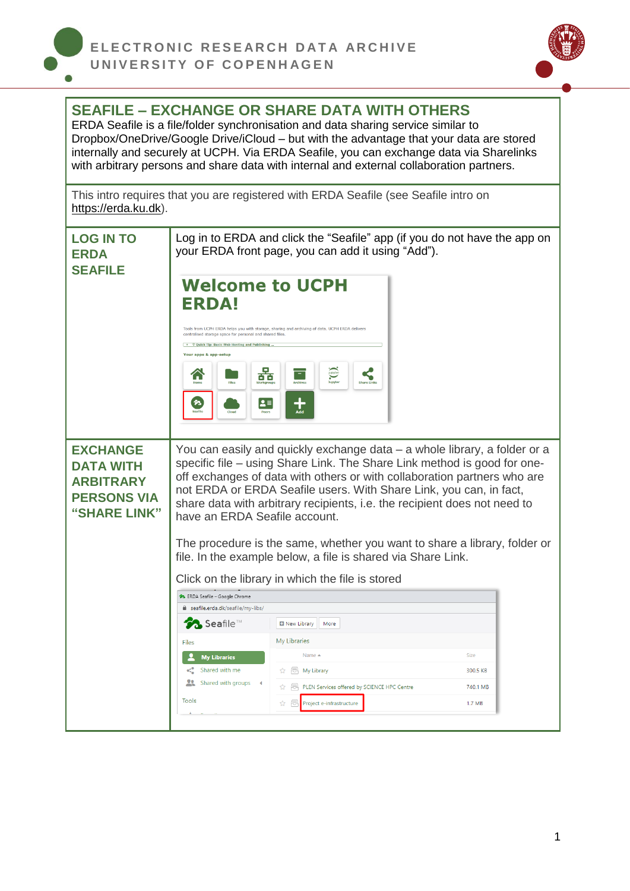



## **SEAFILE – EXCHANGE OR SHARE DATA WITH OTHERS**

ERDA Seafile is a file/folder synchronisation and data sharing service similar to Dropbox/OneDrive/Google Drive/iCloud – but with the advantage that your data are stored internally and securely at UCPH. Via ERDA Seafile, you can exchange data via Sharelinks with arbitrary persons and share data with internal and external collaboration partners.

This intro requires that you are registered with ERDA Seafile (see Seafile intro on [https://erda.ku.dk\)](https://erda.ku.dk/).

| <b>LOG IN TO</b><br><b>ERDA</b><br><b>SEAFILE</b>                                             | Log in to ERDA and click the "Seafile" app (if you do not have the app on<br>your ERDA front page, you can add it using "Add").                                                                                                                                                                                                                                                                                                                                                                    |                                                                                                     |          |  |  |
|-----------------------------------------------------------------------------------------------|----------------------------------------------------------------------------------------------------------------------------------------------------------------------------------------------------------------------------------------------------------------------------------------------------------------------------------------------------------------------------------------------------------------------------------------------------------------------------------------------------|-----------------------------------------------------------------------------------------------------|----------|--|--|
|                                                                                               | <b>Welcome to UCPH</b><br><b>ERDA!</b><br>centralised storage space for personal and shared files.<br>$+$ $\Diamond$ Quick Tip: Basic Web Hosting and Publishing.<br>Your apps & app-setup<br>ठ ठ                                                                                                                                                                                                                                                                                                  | Tools from UCPH ERDA helps you with storage, sharing and archiving of data. UCPH ERDA delivers<br>⋷ |          |  |  |
|                                                                                               | n<br>L≡                                                                                                                                                                                                                                                                                                                                                                                                                                                                                            |                                                                                                     |          |  |  |
| <b>EXCHANGE</b><br><b>DATA WITH</b><br><b>ARBITRARY</b><br><b>PERSONS VIA</b><br>"SHARE LINK" | You can easily and quickly exchange data – a whole library, a folder or a<br>specific file – using Share Link. The Share Link method is good for one-<br>off exchanges of data with others or with collaboration partners who are<br>not ERDA or ERDA Seafile users. With Share Link, you can, in fact,<br>share data with arbitrary recipients, i.e. the recipient does not need to<br>have an ERDA Seafile account.<br>The procedure is the same, whether you want to share a library, folder or |                                                                                                     |          |  |  |
|                                                                                               | file. In the example below, a file is shared via Share Link.                                                                                                                                                                                                                                                                                                                                                                                                                                       |                                                                                                     |          |  |  |
|                                                                                               |                                                                                                                                                                                                                                                                                                                                                                                                                                                                                                    | Click on the library in which the file is stored                                                    |          |  |  |
|                                                                                               | >> ERDA Seafile - Google Chrome                                                                                                                                                                                                                                                                                                                                                                                                                                                                    |                                                                                                     |          |  |  |
|                                                                                               | e seafile.erda.dk/seafile/my-libs/                                                                                                                                                                                                                                                                                                                                                                                                                                                                 |                                                                                                     |          |  |  |
|                                                                                               | Seafile™                                                                                                                                                                                                                                                                                                                                                                                                                                                                                           | New Library<br>More                                                                                 |          |  |  |
|                                                                                               | Files                                                                                                                                                                                                                                                                                                                                                                                                                                                                                              | My Libraries                                                                                        |          |  |  |
|                                                                                               | <b>My Libraries</b>                                                                                                                                                                                                                                                                                                                                                                                                                                                                                | Name ▲                                                                                              | Size     |  |  |
|                                                                                               | Shared with me                                                                                                                                                                                                                                                                                                                                                                                                                                                                                     | My Library                                                                                          | 300.5 KB |  |  |
|                                                                                               | Shared with groups                                                                                                                                                                                                                                                                                                                                                                                                                                                                                 | ☆ 長 PLEN Services offered by SCIENCE HPC Centre                                                     | 740.1 MB |  |  |
|                                                                                               | Tools                                                                                                                                                                                                                                                                                                                                                                                                                                                                                              | Project e-infrastructure<br>52                                                                      | 1.7 MB   |  |  |
|                                                                                               |                                                                                                                                                                                                                                                                                                                                                                                                                                                                                                    |                                                                                                     |          |  |  |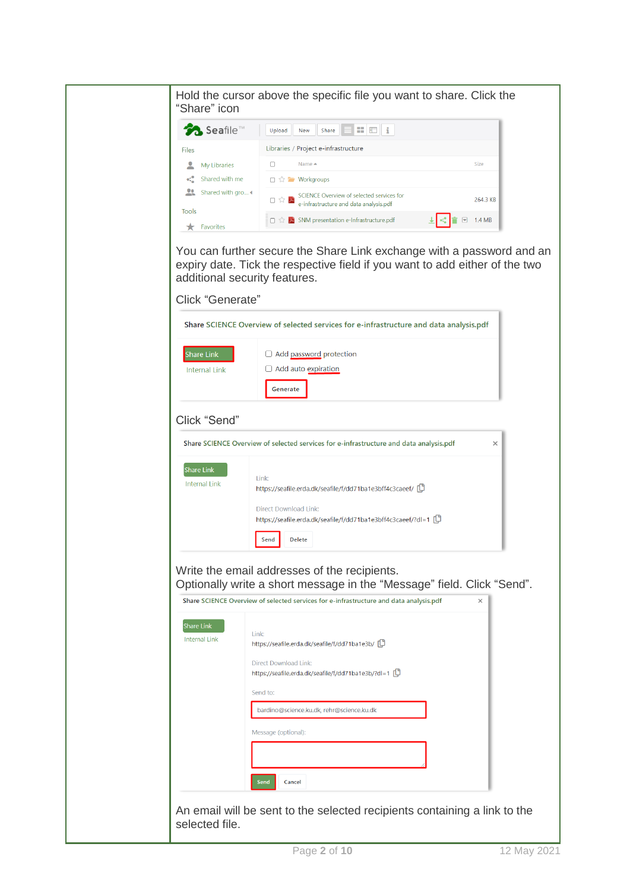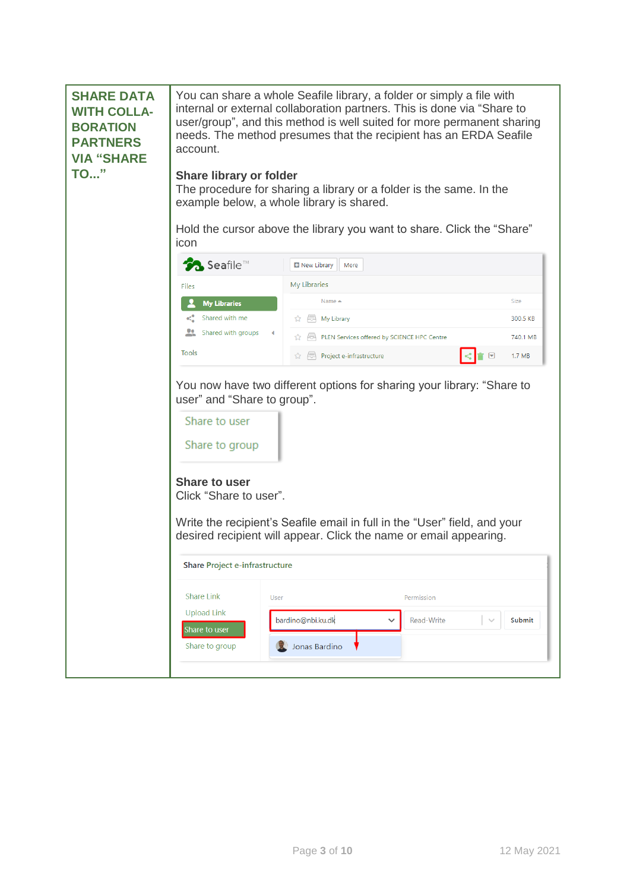| <b>SHARE DATA</b><br><b>WITH COLLA-</b><br><b>BORATION</b><br><b>PARTNERS</b><br><b>VIA "SHARE</b><br><b>TO</b> " | account.<br><b>Share library or folder</b><br>icon                                                               | You can share a whole Seafile library, a folder or simply a file with<br>internal or external collaboration partners. This is done via "Share to<br>user/group", and this method is well suited for more permanent sharing<br>needs. The method presumes that the recipient has an ERDA Seafile<br>The procedure for sharing a library or a folder is the same. In the<br>example below, a whole library is shared.<br>Hold the cursor above the library you want to share. Click the "Share" |          |
|-------------------------------------------------------------------------------------------------------------------|------------------------------------------------------------------------------------------------------------------|-----------------------------------------------------------------------------------------------------------------------------------------------------------------------------------------------------------------------------------------------------------------------------------------------------------------------------------------------------------------------------------------------------------------------------------------------------------------------------------------------|----------|
|                                                                                                                   | <b>Seafile™</b>                                                                                                  | New Library<br>More                                                                                                                                                                                                                                                                                                                                                                                                                                                                           |          |
|                                                                                                                   | <b>Files</b>                                                                                                     | My Libraries                                                                                                                                                                                                                                                                                                                                                                                                                                                                                  |          |
|                                                                                                                   | <b>My Libraries</b>                                                                                              | Name $\triangle$                                                                                                                                                                                                                                                                                                                                                                                                                                                                              | Size     |
|                                                                                                                   | Shared with me                                                                                                   | My Library                                                                                                                                                                                                                                                                                                                                                                                                                                                                                    | 300.5 KB |
|                                                                                                                   | Shared with groups                                                                                               | PLEN Services offered by SCIENCE HPC Centre                                                                                                                                                                                                                                                                                                                                                                                                                                                   | 740.1 MB |
|                                                                                                                   | <b>Tools</b>                                                                                                     | Project e-infrastructure<br>$\Theta$<br>☆                                                                                                                                                                                                                                                                                                                                                                                                                                                     | 1.7 MB   |
|                                                                                                                   | user" and "Share to group".<br>Share to user<br>Share to group<br><b>Share to user</b><br>Click "Share to user". | You now have two different options for sharing your library: "Share to<br>Write the recipient's Seafile email in full in the "User" field, and your<br>desired recipient will appear. Click the name or email appearing.                                                                                                                                                                                                                                                                      |          |
|                                                                                                                   | Share Project e-infrastructure                                                                                   |                                                                                                                                                                                                                                                                                                                                                                                                                                                                                               |          |
|                                                                                                                   | <b>Share Link</b><br><b>User</b>                                                                                 | Permission                                                                                                                                                                                                                                                                                                                                                                                                                                                                                    |          |
|                                                                                                                   | <b>Upload Link</b><br>Share to user                                                                              | bardino@nbi.ku.dk<br>Read-Write<br>$\checkmark$<br>$\searrow$                                                                                                                                                                                                                                                                                                                                                                                                                                 | Submit   |
|                                                                                                                   | Share to group                                                                                                   | <b>De</b> Jonas Bardino                                                                                                                                                                                                                                                                                                                                                                                                                                                                       |          |
|                                                                                                                   |                                                                                                                  |                                                                                                                                                                                                                                                                                                                                                                                                                                                                                               |          |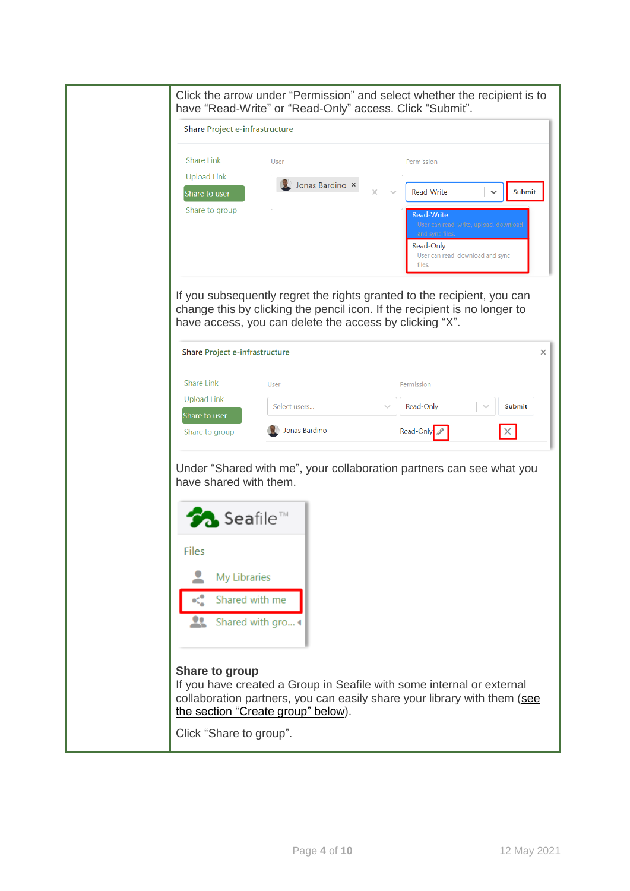| Click the arrow under "Permission" and select whether the recipient is to<br>have "Read-Write" or "Read-Only" access. Click "Submit". |                                                                                                                                                                                                                 |   |  |
|---------------------------------------------------------------------------------------------------------------------------------------|-----------------------------------------------------------------------------------------------------------------------------------------------------------------------------------------------------------------|---|--|
| Share Project e-infrastructure                                                                                                        |                                                                                                                                                                                                                 |   |  |
| <b>Share Link</b><br><b>Upload Link</b><br>Share to user<br>Share to group                                                            | User<br>Permission<br>Jonas Bardino ×<br>Read-Write<br>Submit<br>x<br><b>Read-Write</b><br>User can read, write, upload, download<br>and sync files.<br>Read-Only<br>User can read, download and sync<br>files. |   |  |
| <b>Share Project e-infrastructure</b>                                                                                                 | If you subsequently regret the rights granted to the recipient, you can<br>change this by clicking the pencil icon. If the recipient is no longer to<br>have access, you can delete the access by clicking "X". | × |  |
|                                                                                                                                       |                                                                                                                                                                                                                 |   |  |
| <b>Share Link</b><br><b>Upload Link</b>                                                                                               | User<br>Permission                                                                                                                                                                                              |   |  |
| Share to user                                                                                                                         | Read-Only<br>Submit<br>Select users                                                                                                                                                                             |   |  |
| Share to group                                                                                                                        | Jonas Bardino<br>Read-Only                                                                                                                                                                                      |   |  |
| have shared with them.<br>seafile™<br>Files<br>My Libraries<br>Shared with me<br>29<br>Shared with gro                                | Under "Shared with me", your collaboration partners can see what you                                                                                                                                            |   |  |
| Share to group<br>Click "Share to group".                                                                                             | If you have created a Group in Seafile with some internal or external<br>collaboration partners, you can easily share your library with them (see<br>the section "Create group" below).                         |   |  |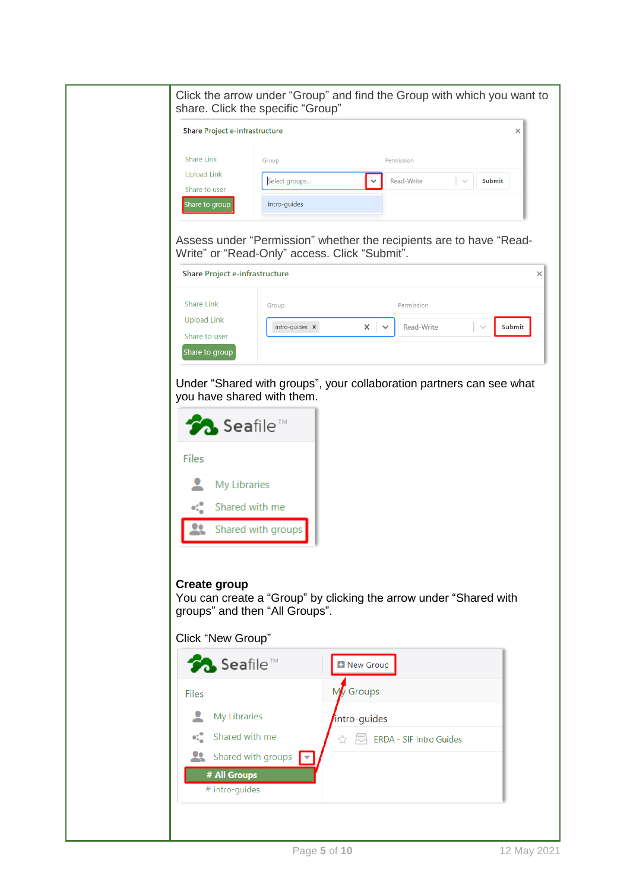<span id="page-4-0"></span>

| Select groups<br>$\checkmark$<br>intro-guides                                                                        | Permission<br>Read-Write                                                             | Submit                                                                                                                                                                                                                                              |
|----------------------------------------------------------------------------------------------------------------------|--------------------------------------------------------------------------------------|-----------------------------------------------------------------------------------------------------------------------------------------------------------------------------------------------------------------------------------------------------|
|                                                                                                                      |                                                                                      |                                                                                                                                                                                                                                                     |
|                                                                                                                      |                                                                                      |                                                                                                                                                                                                                                                     |
|                                                                                                                      |                                                                                      |                                                                                                                                                                                                                                                     |
|                                                                                                                      |                                                                                      |                                                                                                                                                                                                                                                     |
| Assess under "Permission" whether the recipients are to have "Read-<br>Write" or "Read-Only" access. Click "Submit". |                                                                                      |                                                                                                                                                                                                                                                     |
|                                                                                                                      |                                                                                      |                                                                                                                                                                                                                                                     |
|                                                                                                                      | Permission                                                                           |                                                                                                                                                                                                                                                     |
|                                                                                                                      |                                                                                      | Submit                                                                                                                                                                                                                                              |
|                                                                                                                      |                                                                                      |                                                                                                                                                                                                                                                     |
|                                                                                                                      |                                                                                      |                                                                                                                                                                                                                                                     |
| groups" and then "All Groups".                                                                                       |                                                                                      |                                                                                                                                                                                                                                                     |
|                                                                                                                      |                                                                                      |                                                                                                                                                                                                                                                     |
|                                                                                                                      |                                                                                      |                                                                                                                                                                                                                                                     |
|                                                                                                                      |                                                                                      |                                                                                                                                                                                                                                                     |
|                                                                                                                      |                                                                                      |                                                                                                                                                                                                                                                     |
|                                                                                                                      |                                                                                      |                                                                                                                                                                                                                                                     |
|                                                                                                                      |                                                                                      |                                                                                                                                                                                                                                                     |
|                                                                                                                      |                                                                                      |                                                                                                                                                                                                                                                     |
|                                                                                                                      |                                                                                      |                                                                                                                                                                                                                                                     |
|                                                                                                                      |                                                                                      |                                                                                                                                                                                                                                                     |
|                                                                                                                      | intro-guides x<br>×<br>you have shared with them.<br>Shared with groups<br>My Groups | <b>Read-Write</b><br>$\checkmark$<br>Under "Shared with groups", your collaboration partners can see what<br>You can create a "Group" by clicking the arrow under "Shared with<br><b>E</b> New Group<br>intro-guides<br>☆ 同 ERDA - SIF Intro Guides |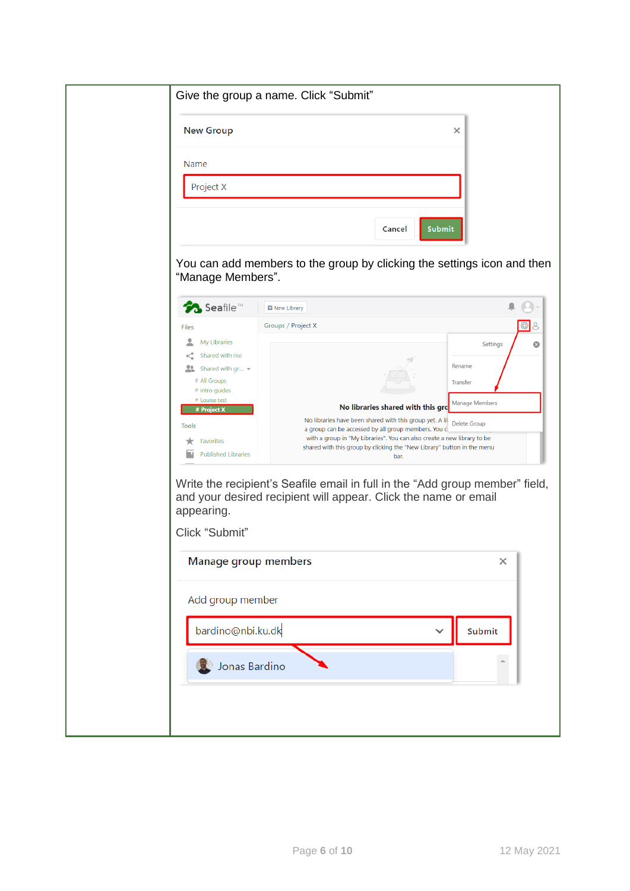|                                                                                                                                                                                                                                                      | ×                                                                                                                                                                                                                                                                                                                                                                                                                                                                                                                                                               |
|------------------------------------------------------------------------------------------------------------------------------------------------------------------------------------------------------------------------------------------------------|-----------------------------------------------------------------------------------------------------------------------------------------------------------------------------------------------------------------------------------------------------------------------------------------------------------------------------------------------------------------------------------------------------------------------------------------------------------------------------------------------------------------------------------------------------------------|
| Name                                                                                                                                                                                                                                                 |                                                                                                                                                                                                                                                                                                                                                                                                                                                                                                                                                                 |
| Project X                                                                                                                                                                                                                                            |                                                                                                                                                                                                                                                                                                                                                                                                                                                                                                                                                                 |
|                                                                                                                                                                                                                                                      | <b>Submit</b><br>Cancel                                                                                                                                                                                                                                                                                                                                                                                                                                                                                                                                         |
| "Manage Members".                                                                                                                                                                                                                                    | You can add members to the group by clicking the settings icon and then                                                                                                                                                                                                                                                                                                                                                                                                                                                                                         |
| <b>Seafile™</b>                                                                                                                                                                                                                                      | New Library                                                                                                                                                                                                                                                                                                                                                                                                                                                                                                                                                     |
| <b>Files</b><br>٠<br><b>My Libraries</b><br>Shared with me<br>$\mathbf{Q}$<br>Shared with $gr$<br># All Groups<br># intro-guides<br># Louise test<br># Project X<br>Tools<br>Favorites<br><b>Published Libraries</b><br>appearing.<br>Click "Submit" | Groups / Project X<br>Settings<br>Rename<br>Transfer<br>Manage Members<br>No libraries shared with this gro<br>No libraries have been shared with this group yet. A lil<br>Delete Group<br>a group can be accessed by all group members. You c<br>with a group in "My Libraries". You can also create a new library to be<br>shared with this group by clicking the "New Library" button in the menu<br>bar.<br>Write the recipient's Seafile email in full in the "Add group member" field,<br>and your desired recipient will appear. Click the name or email |
|                                                                                                                                                                                                                                                      |                                                                                                                                                                                                                                                                                                                                                                                                                                                                                                                                                                 |
| Manage group members                                                                                                                                                                                                                                 | $\times$                                                                                                                                                                                                                                                                                                                                                                                                                                                                                                                                                        |
| Add group member                                                                                                                                                                                                                                     |                                                                                                                                                                                                                                                                                                                                                                                                                                                                                                                                                                 |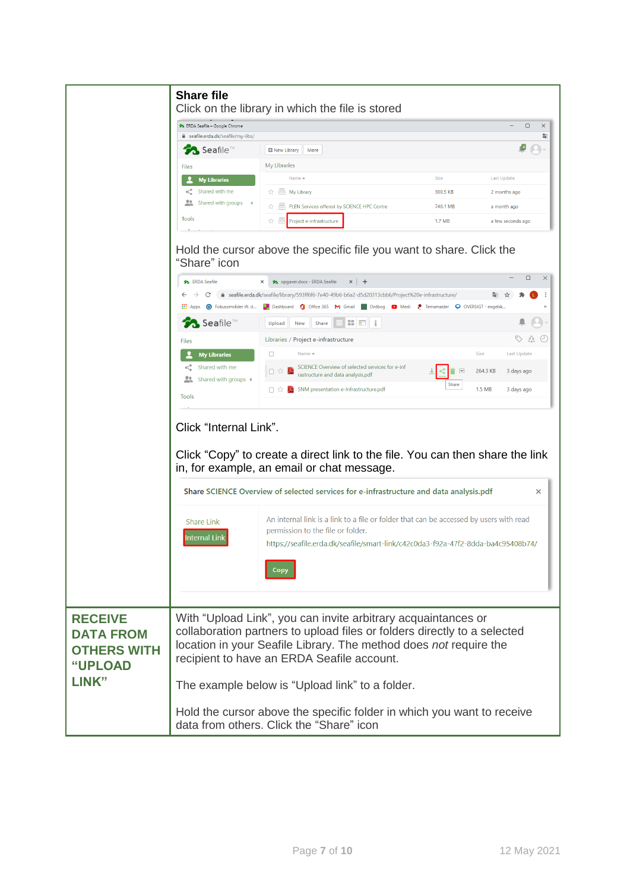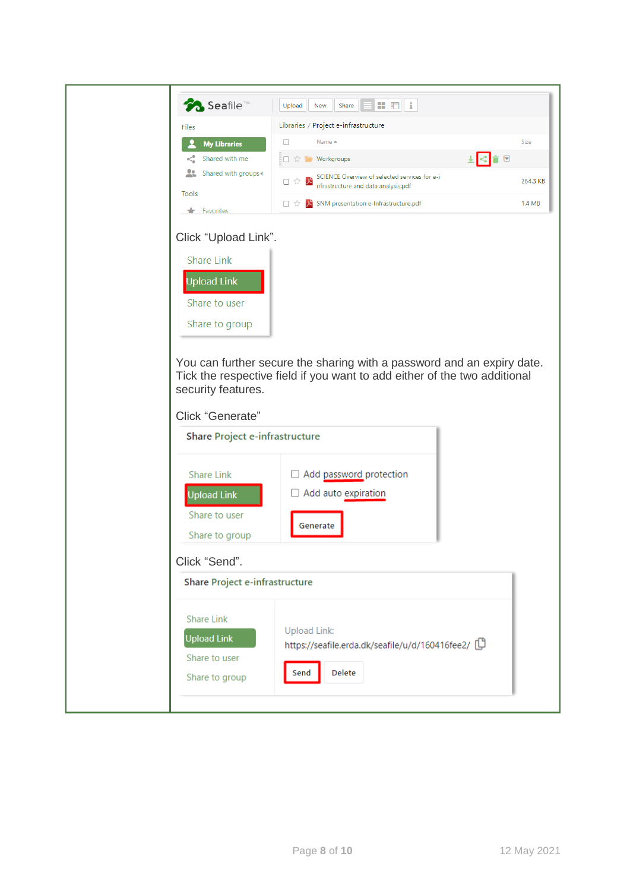| <b>Seafile™</b>                                                                                          | $\mathbf{E}$ $\mathbf{E}$ i<br>Share<br>Upload<br>New                                                                                               |          |
|----------------------------------------------------------------------------------------------------------|-----------------------------------------------------------------------------------------------------------------------------------------------------|----------|
| Files                                                                                                    | Libraries / Project e-infrastructure                                                                                                                |          |
| <b>My Libraries</b>                                                                                      | Name ▲<br>U                                                                                                                                         | Size     |
| Shared with me<br></th <th><math>\leq</math> <math>\mathbf{r}</math><br/>□ ☆ / Workgroups</th> <th></th> | $\leq$ $\mathbf{r}$<br>□ ☆ / Workgroups                                                                                                             |          |
| 22<br>Shared with groups <                                                                               | SCIENCE Overview of selected services for e-i<br>ᄷ<br>口☆<br>nfrastructure and data analysis.pdf                                                     | 264.3 KB |
| Tools<br>$\bigstar$ Favorites                                                                            | SNM presentation e-Infrastructure.pdf<br>口な                                                                                                         | 1.4 MB   |
| Click "Upload Link".                                                                                     |                                                                                                                                                     |          |
| <b>Share Link</b>                                                                                        |                                                                                                                                                     |          |
| <b>Upload Link</b>                                                                                       |                                                                                                                                                     |          |
| Share to user                                                                                            |                                                                                                                                                     |          |
| Share to group                                                                                           |                                                                                                                                                     |          |
| security features.<br>Click "Generate"<br><b>Share Project e-infrastructure</b>                          | You can further secure the sharing with a password and an expiry date.<br>Tick the respective field if you want to add either of the two additional |          |
| <b>Share Link</b>                                                                                        | Add password protection                                                                                                                             |          |
| <b>Upload Link</b>                                                                                       | □ Add auto expiration                                                                                                                               |          |
| Share to user                                                                                            |                                                                                                                                                     |          |
| Share to group                                                                                           | Generate                                                                                                                                            |          |
| Click "Send".                                                                                            |                                                                                                                                                     |          |
| <b>Share Project e-infrastructure</b>                                                                    |                                                                                                                                                     |          |
| <b>Share Link</b><br><b>Upload Link</b><br>Share to user<br>Share to group                               | <b>Upload Link:</b><br>https://seafile.erda.dk/seafile/u/d/160416fee2/<br>Delete<br>Send                                                            |          |
|                                                                                                          |                                                                                                                                                     |          |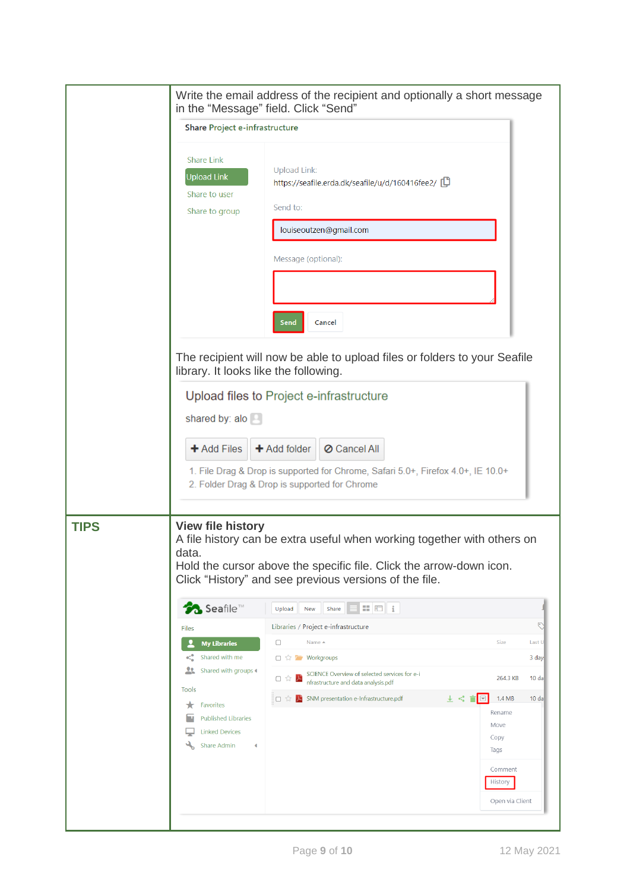|             | Write the email address of the recipient and optionally a short message<br>in the "Message" field. Click "Send"                                                                                                                              |                                                                                                                                                                                                               |                                                      |  |  |
|-------------|----------------------------------------------------------------------------------------------------------------------------------------------------------------------------------------------------------------------------------------------|---------------------------------------------------------------------------------------------------------------------------------------------------------------------------------------------------------------|------------------------------------------------------|--|--|
|             | Share Project e-infrastructure                                                                                                                                                                                                               |                                                                                                                                                                                                               |                                                      |  |  |
|             | <b>Share Link</b><br><b>Upload Link</b><br>Share to user<br>Share to group                                                                                                                                                                   | <b>Upload Link:</b><br>https://seafile.erda.dk/seafile/u/d/160416fee2/<br>Send to:<br>louiseoutzen@gmail.com<br>Message (optional):                                                                           |                                                      |  |  |
|             | Cancel<br>Send<br>The recipient will now be able to upload files or folders to your Seafile<br>library. It looks like the following.                                                                                                         |                                                                                                                                                                                                               |                                                      |  |  |
|             | shared by: alo<br>+ Add Files                                                                                                                                                                                                                | Upload files to Project e-infrastructure<br>+ Add folder<br>O Cancel All<br>1. File Drag & Drop is supported for Chrome, Safari 5.0+, Firefox 4.0+, IE 10.0+<br>2. Folder Drag & Drop is supported for Chrome |                                                      |  |  |
| <b>TIPS</b> | <b>View file history</b><br>A file history can be extra useful when working together with others on<br>data<br>Hold the cursor above the specific file. Click the arrow-down icon.<br>Click "History" and see previous versions of the file. |                                                                                                                                                                                                               |                                                      |  |  |
|             | <b>Seafile™</b>                                                                                                                                                                                                                              | $\mathbf{H}$ $\mathbf{H}$ i<br>Share<br>Upload<br>New                                                                                                                                                         |                                                      |  |  |
|             | Files                                                                                                                                                                                                                                        | Libraries / Project e-infrastructure<br>Name ▲<br>$\Box$                                                                                                                                                      | ᠻ<br>Size<br>Last U                                  |  |  |
|             | <b>My Libraries</b><br>Shared with me<br>ಳ                                                                                                                                                                                                   | □ ☆ ■ Workgroups                                                                                                                                                                                              | 3 day:                                               |  |  |
|             | 22<br>Shared with groups 4                                                                                                                                                                                                                   | SCIENCE Overview of selected services for e-i<br>서<br>口公<br>nfrastructure and data analysis.pdf                                                                                                               | 264.3 KB<br>10 <sub>da</sub>                         |  |  |
|             | Tools<br>Favorites<br>★<br><b>Published Libraries</b><br><b>Linked Devices</b>                                                                                                                                                               | SNM presentation e-Infrastructure.pdf<br>王代<br>盲図<br>:□☆                                                                                                                                                      | 1.4 MB<br>10 <sub>da</sub><br>Rename<br>Move<br>Copy |  |  |
|             | $\mathcal{L}_{\mathbf{b}}$<br>Share Admin<br>∢                                                                                                                                                                                               | Tags                                                                                                                                                                                                          | Comment<br>History<br>Open via Client                |  |  |